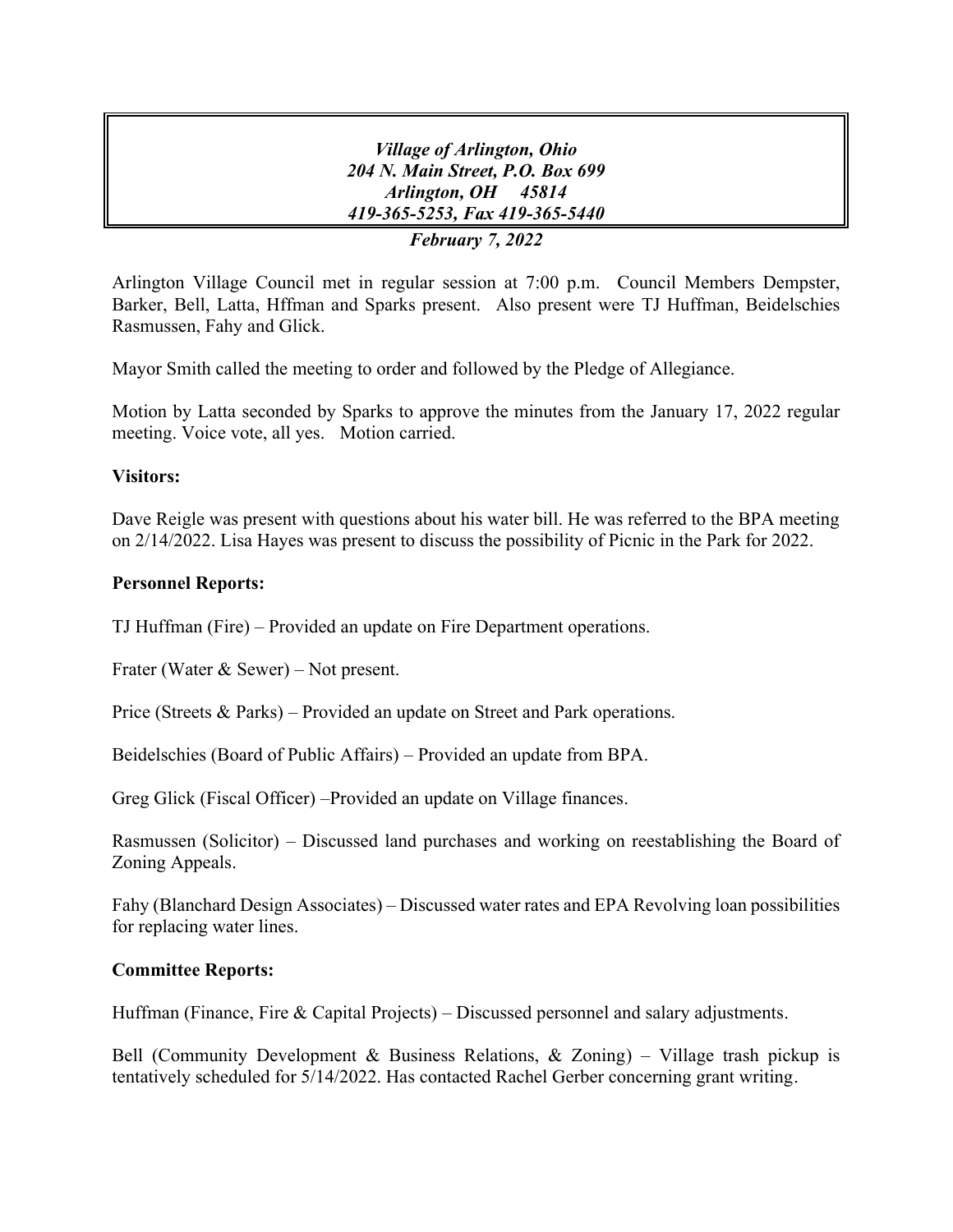*Village of Arlington, Ohio 204 N. Main Street, P.O. Box 699 Arlington, OH 45814 419-365-5253, Fax 419-365-5440 February 7, 2022*

Arlington Village Council met in regular session at 7:00 p.m. Council Members Dempster, Barker, Bell, Latta, Hffman and Sparks present. Also present were TJ Huffman, Beidelschies Rasmussen, Fahy and Glick.

Mayor Smith called the meeting to order and followed by the Pledge of Allegiance.

Motion by Latta seconded by Sparks to approve the minutes from the January 17, 2022 regular meeting. Voice vote, all yes. Motion carried.

### **Visitors:**

Dave Reigle was present with questions about his water bill. He was referred to the BPA meeting on 2/14/2022. Lisa Hayes was present to discuss the possibility of Picnic in the Park for 2022.

#### **Personnel Reports:**

TJ Huffman (Fire) – Provided an update on Fire Department operations.

Frater (Water & Sewer) – Not present.

Price (Streets & Parks) – Provided an update on Street and Park operations.

Beidelschies (Board of Public Affairs) – Provided an update from BPA.

Greg Glick (Fiscal Officer) –Provided an update on Village finances.

Rasmussen (Solicitor) – Discussed land purchases and working on reestablishing the Board of Zoning Appeals.

Fahy (Blanchard Design Associates) – Discussed water rates and EPA Revolving loan possibilities for replacing water lines.

### **Committee Reports:**

Huffman (Finance, Fire & Capital Projects) – Discussed personnel and salary adjustments.

Bell (Community Development & Business Relations, & Zoning) – Village trash pickup is tentatively scheduled for 5/14/2022. Has contacted Rachel Gerber concerning grant writing.